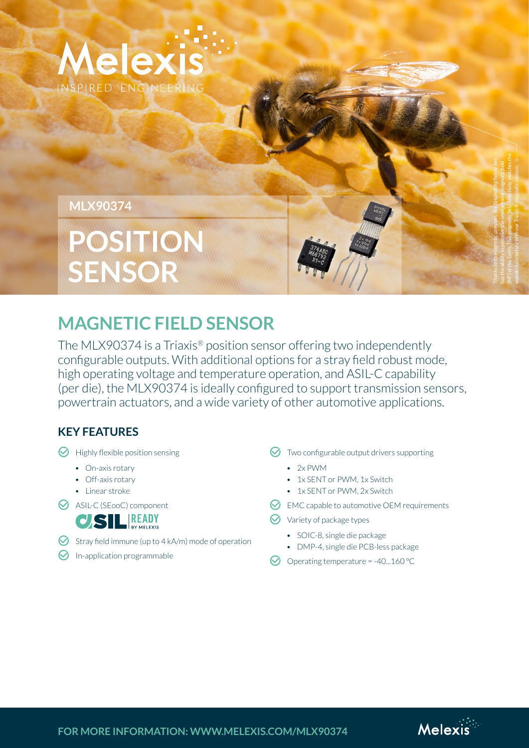

## **MLX90374**

# **POSITION SENSOR**

# **MAGNETIC FIELD SENSOR**

The MLX90374 is a Triaxis® position sensor offering two independently configurable outputs. With additional options for a stray field robust mode, high operating voltage and temperature operation, and ASIL-C capability [\(per die\), the MLX90374 is ideally configured to support transmission sensors,](https://www.melexis.com/en/product/MLX90374/Triaxis-Rotary-Linear-Position-Sensor-Dual-Output?utm_campaign=mlx90374_flyer&utm_medium=pdf&utm_source=flyer&utm_content=text_link)  powertrain actuators, and a wide variety of other automotive applications.

# **KEY FEATURES**

- $\Theta$  Highly flexible position sensing
	- On-axis rotary
	- Off-axis rotary
	- Linear stroke
- **K** ASIL-C (SEooC) component



- Stray field immune (up to  $4$  kA/m) mode of operation
- $\Theta$  In-application programmable

 $\bigcirc$  Two configurable output drivers supporting

- 2x PWM
- 1x SENT or PWM, 1x Switch
- 1x SENT or PWM, 2x Switch
- $\heartsuit$  EMC capable to automotive OEM requirements
- $\Theta$  Variety of package types
	- SOIC-8, single die package
	- DMP-4, single die PCB-less package
- $\bullet$  Operating temperature = -40...160 °C